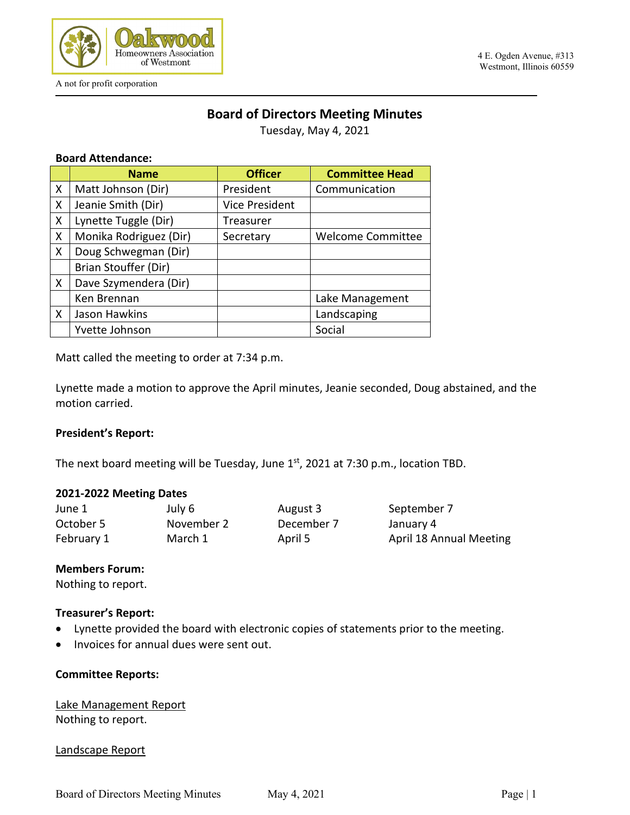

A not for profit corporation

#### 4 E. Ogden Avenue, #313 Westmont, Illinois 60559

# **Board of Directors Meeting Minutes**

Tuesday, May 4, 2021

#### **Board Attendance:**

|   | <b>Name</b>            | <b>Officer</b>        | <b>Committee Head</b>    |
|---|------------------------|-----------------------|--------------------------|
| X | Matt Johnson (Dir)     | President             | Communication            |
| X | Jeanie Smith (Dir)     | <b>Vice President</b> |                          |
| X | Lynette Tuggle (Dir)   | Treasurer             |                          |
| X | Monika Rodriguez (Dir) | Secretary             | <b>Welcome Committee</b> |
| X | Doug Schwegman (Dir)   |                       |                          |
|   | Brian Stouffer (Dir)   |                       |                          |
| X | Dave Szymendera (Dir)  |                       |                          |
|   | Ken Brennan            |                       | Lake Management          |
| X | Jason Hawkins          |                       | Landscaping              |
|   | Yvette Johnson         |                       | Social                   |

Matt called the meeting to order at 7:34 p.m.

Lynette made a motion to approve the April minutes, Jeanie seconded, Doug abstained, and the motion carried.

#### **President's Report:**

The next board meeting will be Tuesday, June 1st, 2021 at 7:30 p.m., location TBD.

#### **2021-2022 Meeting Dates**

June 1 **July 6** August 3 September 7 October 5 November 2 December 7 January 4 February 1 March 1 April 5 April 18 Annual Meeting

#### **Members Forum:**

Nothing to report.

#### **Treasurer's Report:**

- Lynette provided the board with electronic copies of statements prior to the meeting.
- Invoices for annual dues were sent out.

#### **Committee Reports:**

Lake Management Report Nothing to report.

#### Landscape Report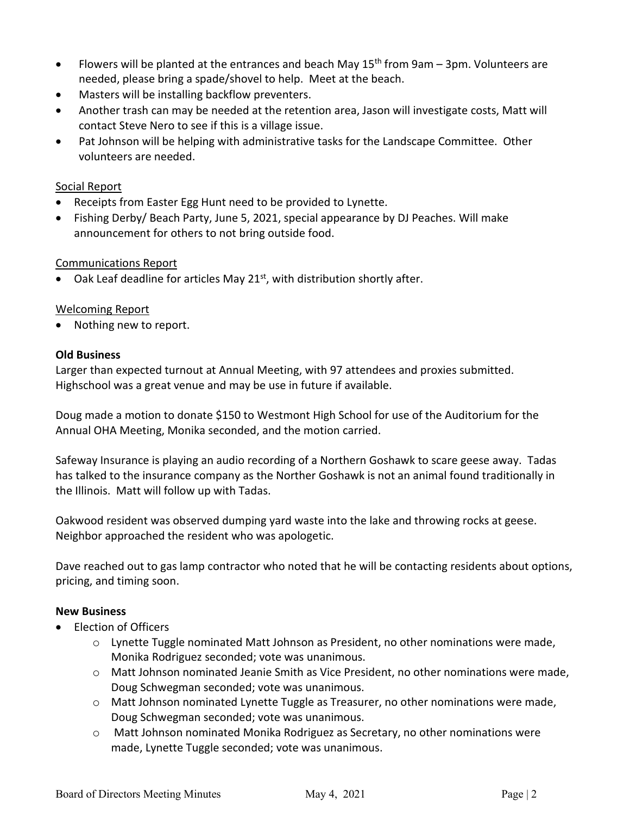- Flowers will be planted at the entrances and beach May  $15<sup>th</sup>$  from 9am 3pm. Volunteers are needed, please bring a spade/shovel to help. Meet at the beach.
- Masters will be installing backflow preventers.
- Another trash can may be needed at the retention area, Jason will investigate costs, Matt will contact Steve Nero to see if this is a village issue.
- Pat Johnson will be helping with administrative tasks for the Landscape Committee. Other volunteers are needed.

### Social Report

- Receipts from Easter Egg Hunt need to be provided to Lynette.
- Fishing Derby/ Beach Party, June 5, 2021, special appearance by DJ Peaches. Will make announcement for others to not bring outside food.

#### Communications Report

Oak Leaf deadline for articles May 21<sup>st</sup>, with distribution shortly after.

#### Welcoming Report

Nothing new to report.

#### **Old Business**

Larger than expected turnout at Annual Meeting, with 97 attendees and proxies submitted. Highschool was a great venue and may be use in future if available.

Doug made a motion to donate \$150 to Westmont High School for use of the Auditorium for the Annual OHA Meeting, Monika seconded, and the motion carried.

Safeway Insurance is playing an audio recording of a Northern Goshawk to scare geese away. Tadas has talked to the insurance company as the Norther Goshawk is not an animal found traditionally in the Illinois. Matt will follow up with Tadas.

Oakwood resident was observed dumping yard waste into the lake and throwing rocks at geese. Neighbor approached the resident who was apologetic.

Dave reached out to gas lamp contractor who noted that he will be contacting residents about options, pricing, and timing soon.

#### **New Business**

- Election of Officers
	- $\circ$  Lynette Tuggle nominated Matt Johnson as President, no other nominations were made, Monika Rodriguez seconded; vote was unanimous.
	- o Matt Johnson nominated Jeanie Smith as Vice President, no other nominations were made, Doug Schwegman seconded; vote was unanimous.
	- $\circ$  Matt Johnson nominated Lynette Tuggle as Treasurer, no other nominations were made, Doug Schwegman seconded; vote was unanimous.
	- o Matt Johnson nominated Monika Rodriguez as Secretary, no other nominations were made, Lynette Tuggle seconded; vote was unanimous.